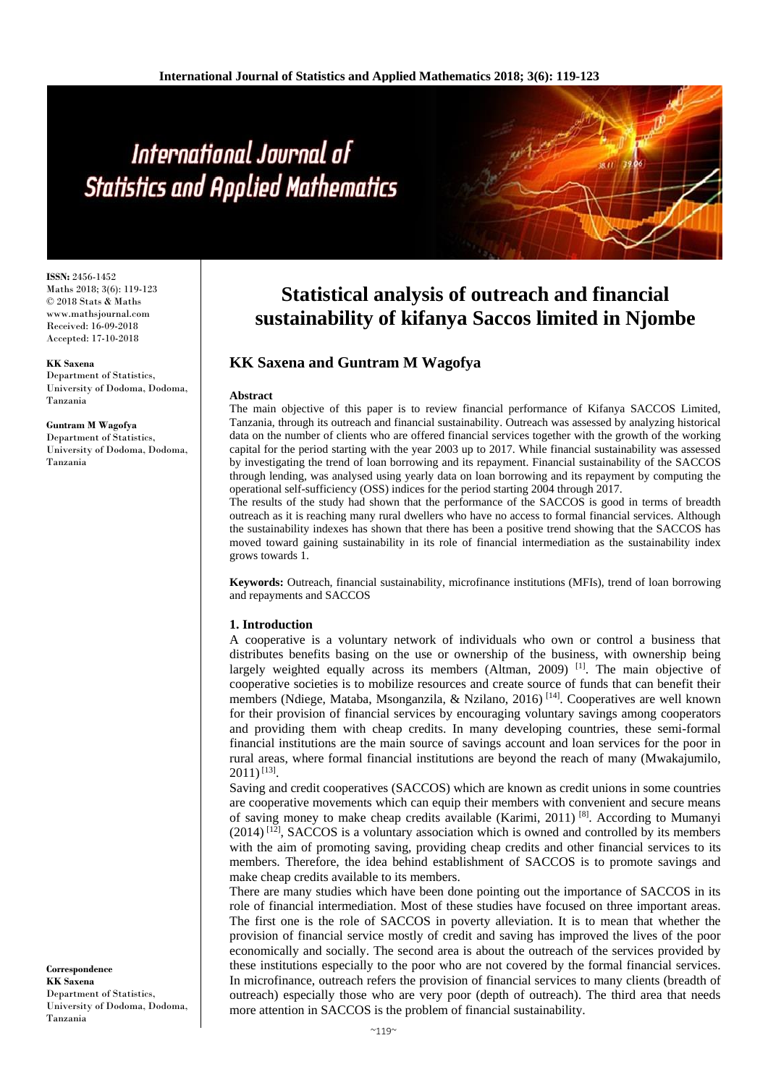# International Journal of **Statistics and Applied Mathematics**

**ISSN:** 2456-1452 Maths 2018; 3(6): 119-123 © 2018 Stats & Maths www.mathsjournal.com Received: 16-09-2018 Accepted: 17-10-2018

#### **KK Saxena**

Department of Statistics, University of Dodoma, Dodoma, Tanzania

#### **Guntram M Wagofya**

Department of Statistics, University of Dodoma, Dodoma, Tanzania

#### **Correspondence KK Saxena** Department of Statistics, University of Dodoma, Dodoma, Tanzania

# **Statistical analysis of outreach and financial sustainability of kifanya Saccos limited in Njombe**

# **KK Saxena and Guntram M Wagofya**

#### **Abstract**

The main objective of this paper is to review financial performance of Kifanya SACCOS Limited, Tanzania, through its outreach and financial sustainability. Outreach was assessed by analyzing historical data on the number of clients who are offered financial services together with the growth of the working capital for the period starting with the year 2003 up to 2017. While financial sustainability was assessed by investigating the trend of loan borrowing and its repayment. Financial sustainability of the SACCOS through lending, was analysed using yearly data on loan borrowing and its repayment by computing the operational self-sufficiency (OSS) indices for the period starting 2004 through 2017.

The results of the study had shown that the performance of the SACCOS is good in terms of breadth outreach as it is reaching many rural dwellers who have no access to formal financial services. Although the sustainability indexes has shown that there has been a positive trend showing that the SACCOS has moved toward gaining sustainability in its role of financial intermediation as the sustainability index grows towards 1.

**Keywords:** Outreach, financial sustainability, microfinance institutions (MFIs), trend of loan borrowing and repayments and SACCOS

# **1. Introduction**

A cooperative is a voluntary network of individuals who own or control a business that distributes benefits basing on the use or ownership of the business, with ownership being largely weighted equally across its members (Altman, 2009) [1]. The main objective of cooperative societies is to mobilize resources and create source of funds that can benefit their members (Ndiege, Mataba, Msonganzila, & Nzilano, 2016)<sup>[14]</sup>. Cooperatives are well known for their provision of financial services by encouraging voluntary savings among cooperators and providing them with cheap credits. In many developing countries, these semi-formal financial institutions are the main source of savings account and loan services for the poor in rural areas, where formal financial institutions are beyond the reach of many (Mwakajumilo,  $2011)^{[13]}$ .

Saving and credit cooperatives (SACCOS) which are known as credit unions in some countries are cooperative movements which can equip their members with convenient and secure means of saving money to make cheap credits available (Karimi, 2011)<sup>[8]</sup>. According to Mumanyi  $(2014)$ <sup>[12]</sup>, SACCOS is a voluntary association which is owned and controlled by its members with the aim of promoting saving, providing cheap credits and other financial services to its members. Therefore, the idea behind establishment of SACCOS is to promote savings and make cheap credits available to its members.

There are many studies which have been done pointing out the importance of SACCOS in its role of financial intermediation. Most of these studies have focused on three important areas. The first one is the role of SACCOS in poverty alleviation. It is to mean that whether the provision of financial service mostly of credit and saving has improved the lives of the poor economically and socially. The second area is about the outreach of the services provided by these institutions especially to the poor who are not covered by the formal financial services. In microfinance, outreach refers the provision of financial services to many clients (breadth of outreach) especially those who are very poor (depth of outreach). The third area that needs more attention in SACCOS is the problem of financial sustainability.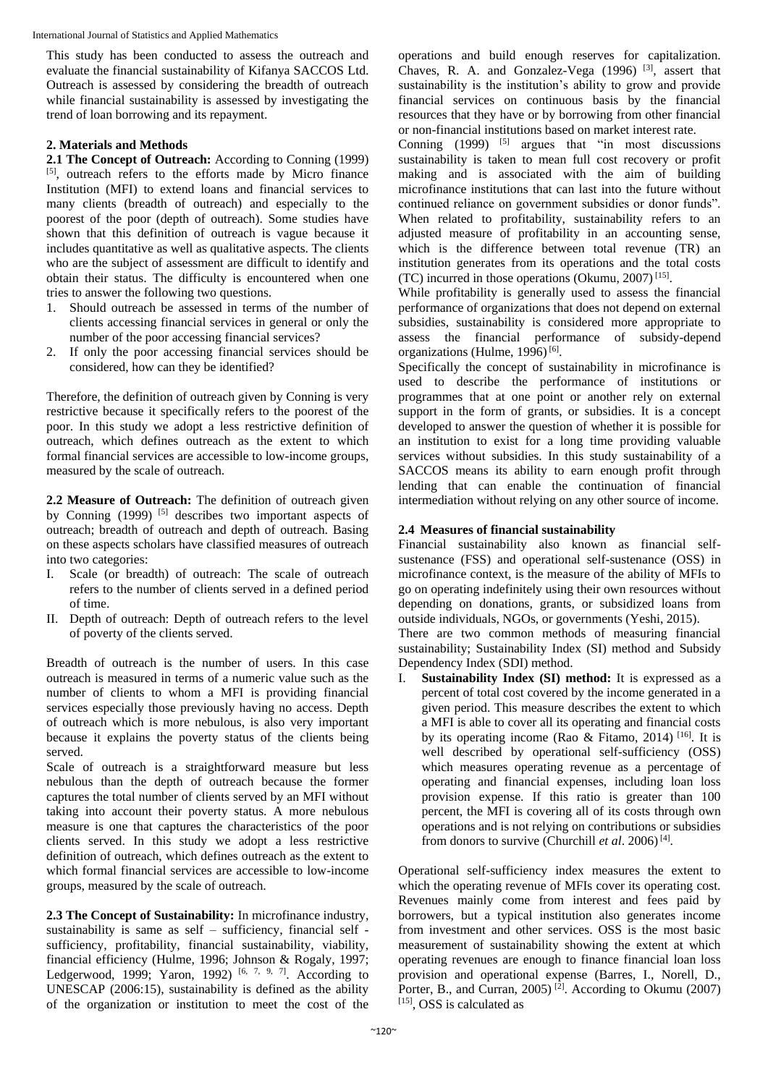This study has been conducted to assess the outreach and evaluate the financial sustainability of Kifanya SACCOS Ltd. Outreach is assessed by considering the breadth of outreach while financial sustainability is assessed by investigating the trend of loan borrowing and its repayment.

# **2. Materials and Methods**

**2.1 The Concept of Outreach:** According to Conning (1999) [5] , outreach refers to the efforts made by Micro finance Institution (MFI) to extend loans and financial services to many clients (breadth of outreach) and especially to the poorest of the poor (depth of outreach). Some studies have shown that this definition of outreach is vague because it includes quantitative as well as qualitative aspects. The clients who are the subject of assessment are difficult to identify and obtain their status. The difficulty is encountered when one tries to answer the following two questions.

- 1. Should outreach be assessed in terms of the number of clients accessing financial services in general or only the number of the poor accessing financial services?
- 2. If only the poor accessing financial services should be considered, how can they be identified?

Therefore, the definition of outreach given by Conning is very restrictive because it specifically refers to the poorest of the poor. In this study we adopt a less restrictive definition of outreach, which defines outreach as the extent to which formal financial services are accessible to low-income groups, measured by the scale of outreach.

**2.2 Measure of Outreach:** The definition of outreach given by Conning  $(1999)$  [5] describes two important aspects of outreach; breadth of outreach and depth of outreach. Basing on these aspects scholars have classified measures of outreach into two categories:

- I. Scale (or breadth) of outreach: The scale of outreach refers to the number of clients served in a defined period of time.
- II. Depth of outreach: Depth of outreach refers to the level of poverty of the clients served.

Breadth of outreach is the number of users. In this case outreach is measured in terms of a numeric value such as the number of clients to whom a MFI is providing financial services especially those previously having no access. Depth of outreach which is more nebulous, is also very important because it explains the poverty status of the clients being served.

Scale of outreach is a straightforward measure but less nebulous than the depth of outreach because the former captures the total number of clients served by an MFI without taking into account their poverty status. A more nebulous measure is one that captures the characteristics of the poor clients served. In this study we adopt a less restrictive definition of outreach, which defines outreach as the extent to which formal financial services are accessible to low-income groups, measured by the scale of outreach.

**2.3 The Concept of Sustainability:** In microfinance industry, sustainability is same as self – sufficiency, financial self sufficiency, profitability, financial sustainability, viability, financial efficiency (Hulme, 1996; Johnson & Rogaly, 1997; Ledgerwood, 1999; Yaron, 1992)<sup>[6, 7, 9, 7]</sup>. According to UNESCAP (2006:15), sustainability is defined as the ability of the organization or institution to meet the cost of the

operations and build enough reserves for capitalization. Chaves, R. A. and Gonzalez-Vega  $(1996)$ <sup>[3]</sup>, assert that sustainability is the institution's ability to grow and provide financial services on continuous basis by the financial resources that they have or by borrowing from other financial or non-financial institutions based on market interest rate.

Conning  $(1999)$  <sup>[5]</sup> argues that "in most discussions sustainability is taken to mean full cost recovery or profit making and is associated with the aim of building microfinance institutions that can last into the future without continued reliance on government subsidies or donor funds". When related to profitability, sustainability refers to an adjusted measure of profitability in an accounting sense, which is the difference between total revenue (TR) an institution generates from its operations and the total costs (TC) incurred in those operations (Okumu, 2007) [15] .

While profitability is generally used to assess the financial performance of organizations that does not depend on external subsidies, sustainability is considered more appropriate to assess the financial performance of subsidy-depend organizations (Hulme, 1996)<sup>[6]</sup>.

Specifically the concept of sustainability in microfinance is used to describe the performance of institutions or programmes that at one point or another rely on external support in the form of grants, or subsidies. It is a concept developed to answer the question of whether it is possible for an institution to exist for a long time providing valuable services without subsidies. In this study sustainability of a SACCOS means its ability to earn enough profit through lending that can enable the continuation of financial intermediation without relying on any other source of income.

# **2.4 Measures of financial sustainability**

Financial sustainability also known as financial selfsustenance (FSS) and operational self-sustenance (OSS) in microfinance context, is the measure of the ability of MFIs to go on operating indefinitely using their own resources without depending on donations, grants, or subsidized loans from outside individuals, NGOs, or governments (Yeshi, 2015).

There are two common methods of measuring financial sustainability; Sustainability Index (SI) method and Subsidy Dependency Index (SDI) method.

I. **Sustainability Index (SI) method:** It is expressed as a percent of total cost covered by the income generated in a given period. This measure describes the extent to which a MFI is able to cover all its operating and financial costs by its operating income (Rao & Fitamo, 2014)<sup>[16]</sup>. It is well described by operational self-sufficiency (OSS) which measures operating revenue as a percentage of operating and financial expenses, including loan loss provision expense. If this ratio is greater than 100 percent, the MFI is covering all of its costs through own operations and is not relying on contributions or subsidies from donors to survive (Churchill et al. 2006)<sup>[4]</sup>.

Operational self-sufficiency index measures the extent to which the operating revenue of MFIs cover its operating cost. Revenues mainly come from interest and fees paid by borrowers, but a typical institution also generates income from investment and other services. OSS is the most basic measurement of sustainability showing the extent at which operating revenues are enough to finance financial loan loss provision and operational expense (Barres, I., Norell, D., Porter, B., and Curran, 2005)<sup>[2]</sup>. According to Okumu (2007) [15], OSS is calculated as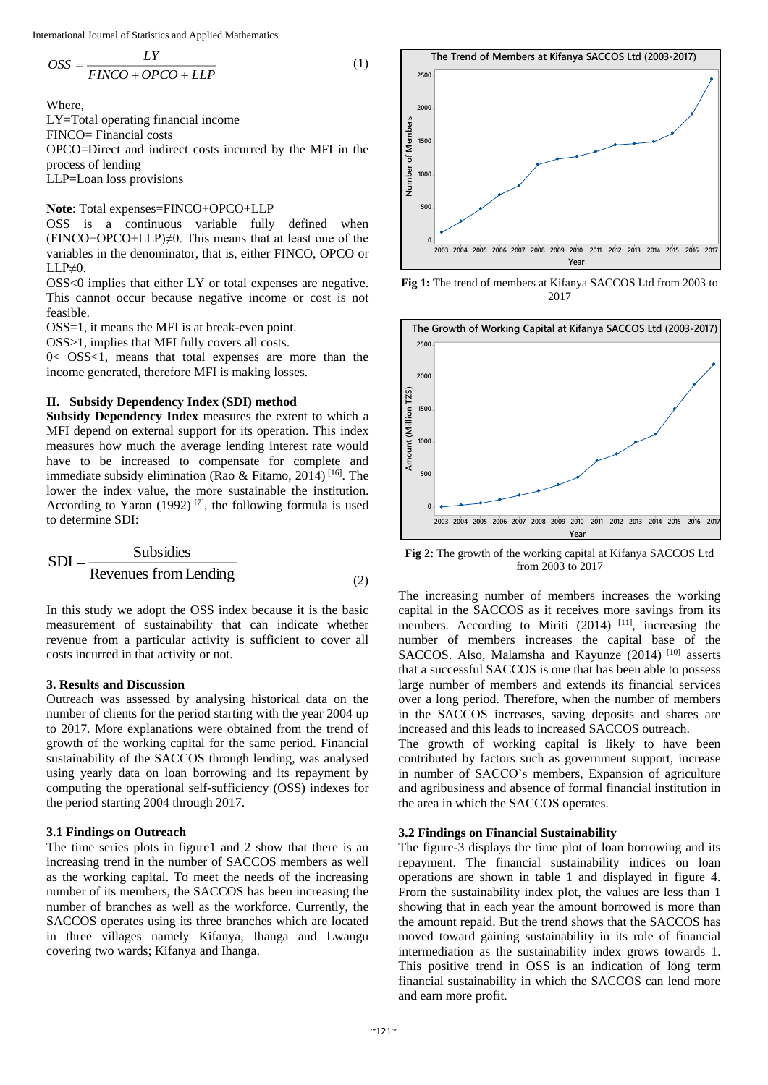International Journal of Statistics and Applied Mathematics

$$
OSS = \frac{LY}{FINCO + OPCO + LLP}
$$
 (1)

Where,

LY=Total operating financial income FINCO= Financial costs OPCO=Direct and indirect costs incurred by the MFI in the process of lending LLP=Loan loss provisions

**Note**: Total expenses=FINCO+OPCO+LLP

OSS is a continuous variable fully defined when  $(FINCO+OPCO+LLP)\neq 0$ . This means that at least one of the variables in the denominator, that is, either FINCO, OPCO or  $LLP\neq 0$ .

OSS<0 implies that either LY or total expenses are negative. This cannot occur because negative income or cost is not feasible.

OSS=1, it means the MFI is at break-even point.

OSS>1, implies that MFI fully covers all costs.

0< OSS<1, means that total expenses are more than the income generated, therefore MFI is making losses.

# **II. Subsidy Dependency Index (SDI) method**

**Subsidy Dependency Index** measures the extent to which a MFI depend on external support for its operation. This index measures how much the average lending interest rate would have to be increased to compensate for complete and immediate subsidy elimination (Rao & Fitamo, 2014)<sup>[16]</sup>. The lower the index value, the more sustainable the institution. According to Yaron (1992)<sup>[7]</sup>, the following formula is used to determine SDI:

$$
SDI = \frac{Subsides}{Revenues from Lending}
$$
\n(2)

In this study we adopt the OSS index because it is the basic measurement of sustainability that can indicate whether revenue from a particular activity is sufficient to cover all costs incurred in that activity or not.

# **3. Results and Discussion**

Outreach was assessed by analysing historical data on the number of clients for the period starting with the year 2004 up to 2017. More explanations were obtained from the trend of growth of the working capital for the same period. Financial sustainability of the SACCOS through lending, was analysed using yearly data on loan borrowing and its repayment by computing the operational self-sufficiency (OSS) indexes for the period starting 2004 through 2017.

# **3.1 Findings on Outreach**

The time series plots in figure1 and 2 show that there is an increasing trend in the number of SACCOS members as well as the working capital. To meet the needs of the increasing number of its members, the SACCOS has been increasing the number of branches as well as the workforce. Currently, the SACCOS operates using its three branches which are located in three villages namely Kifanya, Ihanga and Lwangu covering two wards; Kifanya and Ihanga.



**Fig 1:** The trend of members at Kifanya SACCOS Ltd from 2003 to 2017



**Fig 2:** The growth of the working capital at Kifanya SACCOS Ltd from 2003 to 2017

The increasing number of members increases the working capital in the SACCOS as it receives more savings from its members. According to Miriti (2014) <sup>[11]</sup>, increasing the number of members increases the capital base of the SACCOS. Also, Malamsha and Kayunze (2014)<sup>[10]</sup> asserts that a successful SACCOS is one that has been able to possess large number of members and extends its financial services over a long period. Therefore, when the number of members in the SACCOS increases, saving deposits and shares are increased and this leads to increased SACCOS outreach.

The growth of working capital is likely to have been contributed by factors such as government support, increase in number of SACCO's members, Expansion of agriculture and agribusiness and absence of formal financial institution in the area in which the SACCOS operates.

# **3.2 Findings on Financial Sustainability**

The figure-3 displays the time plot of loan borrowing and its repayment. The financial sustainability indices on loan operations are shown in table 1 and displayed in figure 4. From the sustainability index plot, the values are less than 1 showing that in each year the amount borrowed is more than the amount repaid. But the trend shows that the SACCOS has moved toward gaining sustainability in its role of financial intermediation as the sustainability index grows towards 1. This positive trend in OSS is an indication of long term financial sustainability in which the SACCOS can lend more and earn more profit.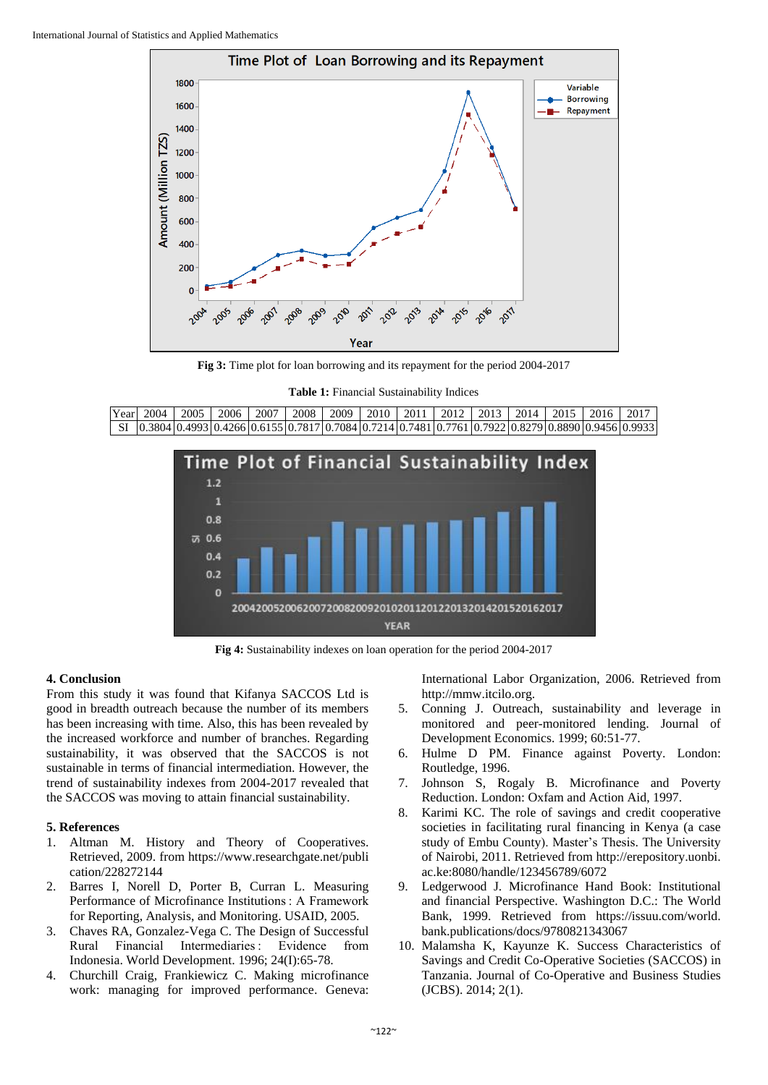

**Fig 3:** Time plot for loan borrowing and its repayment for the period 2004-2017

**Table 1:** Financial Sustainability Indices

| Year | 2004 | 2005 | 2006                                                                                                  | 2007 | 2008 | 2009 |  | 2010   2011   2012   2013   2014   2015   2016 |  | $201^{-}$ |
|------|------|------|-------------------------------------------------------------------------------------------------------|------|------|------|--|------------------------------------------------|--|-----------|
|      |      |      |                                                                                                       |      |      |      |  |                                                |  |           |
|      |      |      | SI  0.3804 0.4993 0.4266 0.6155 0.7817 0.7084 0.7214 0.7481 0.7761 0.7922 0.8279 0.8890 0.9456 0.9933 |      |      |      |  |                                                |  |           |



**Fig 4:** Sustainability indexes on loan operation for the period 2004-2017

# **4. Conclusion**

From this study it was found that Kifanya SACCOS Ltd is good in breadth outreach because the number of its members has been increasing with time. Also, this has been revealed by the increased workforce and number of branches. Regarding sustainability, it was observed that the SACCOS is not sustainable in terms of financial intermediation. However, the trend of sustainability indexes from 2004-2017 revealed that the SACCOS was moving to attain financial sustainability.

# **5. References**

- 1. Altman M. History and Theory of Cooperatives. Retrieved, 2009. from https://www.researchgate.net/publi cation/228272144
- 2. Barres I, Norell D, Porter B, Curran L. Measuring Performance of Microfinance Institutions : A Framework for Reporting, Analysis, and Monitoring. USAID, 2005.
- 3. Chaves RA, Gonzalez-Vega C. The Design of Successful Rural Financial Intermediaries : Evidence from Indonesia. World Development. 1996; 24(I):65-78.
- 4. Churchill Craig, Frankiewicz C. Making microfinance work: managing for improved performance. Geneva:

International Labor Organization, 2006. Retrieved from http://mmw.itcilo.org.

- 5. Conning J. Outreach, sustainability and leverage in monitored and peer-monitored lending. Journal of Development Economics. 1999; 60:51-77.
- 6. Hulme D PM. Finance against Poverty. London: Routledge, 1996.
- 7. Johnson S, Rogaly B. Microfinance and Poverty Reduction. London: Oxfam and Action Aid, 1997.
- 8. Karimi KC. The role of savings and credit cooperative societies in facilitating rural financing in Kenya (a case study of Embu County). Master's Thesis. The University of Nairobi, 2011. Retrieved from http://erepository.uonbi. ac.ke:8080/handle/123456789/6072
- 9. Ledgerwood J. Microfinance Hand Book: Institutional and financial Perspective. Washington D.C.: The World Bank, 1999. Retrieved from https://issuu.com/world. bank.publications/docs/9780821343067
- 10. Malamsha K, Kayunze K. Success Characteristics of Savings and Credit Co-Operative Societies (SACCOS) in Tanzania. Journal of Co-Operative and Business Studies (JCBS). 2014; 2(1).